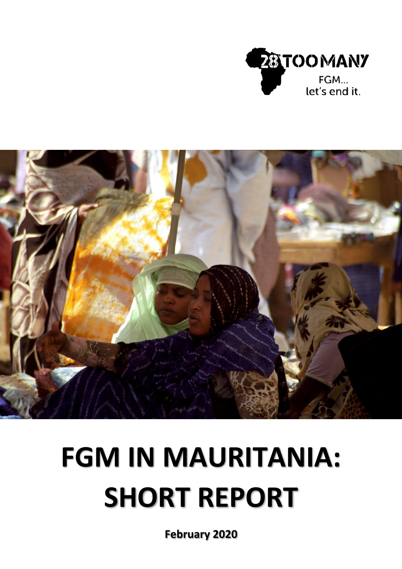



# **FGM IN MAURITANIA: SHORT REPORT**

**February 2020**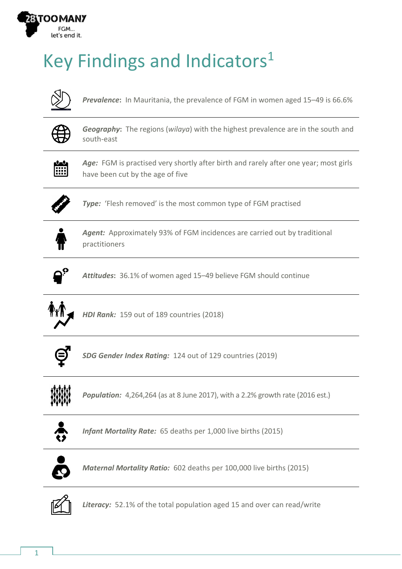

## Key Findings and Indicators<sup>1</sup>



*Prevalence***:** In Mauritania, the prevalence of FGM in women aged 15–49 is 66.6%



*Geography***:** The regions (*wilaya*) with the highest prevalence are in the south and south-east



Age: FGM is practised very shortly after birth and rarely after one year; most girls have been cut by the age of five



*Type:* 'Flesh removed' is the most common type of FGM practised



*Agent:* Approximately 93% of FGM incidences are carried out by traditional practitioners



*Attitudes***:** 36.1% of women aged 15–49 believe FGM should continue



*HDI Rank:* 159 out of 189 countries (2018)



*SDG Gender Index Rating:* 124 out of 129 countries (2019)



*Population:* 4,264,264 (as at 8 June 2017), with a 2.2% growth rate (2016 est.)



*Infant Mortality Rate:* 65 deaths per 1,000 live births (2015)



*Maternal Mortality Ratio:* 602 deaths per 100,000 live births (2015)



*Literacy:* 52.1% of the total population aged 15 and over can read/write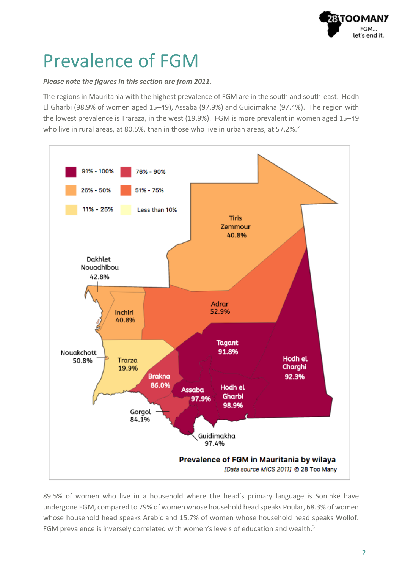

#### Prevalence of FGM

#### *Please note the figures in this section are from 2011.*

The regions in Mauritania with the highest prevalence of FGM are in the south and south-east: Hodh El Gharbi (98.9% of women aged 15–49), Assaba (97.9%) and Guidimakha (97.4%). The region with the lowest prevalence is Traraza, in the west (19.9%). FGM is more prevalent in women aged 15–49 who live in rural areas, at 80.5%, than in those who live in urban areas, at 57.2%.<sup>2</sup>



89.5% of women who live in a household where the head's primary language is Soninké have undergone FGM, compared to 79% of women whose household head speaks Poular, 68.3% of women whose household head speaks Arabic and 15.7% of women whose household head speaks Wollof. FGM prevalence is inversely correlated with women's levels of education and wealth.<sup>3</sup>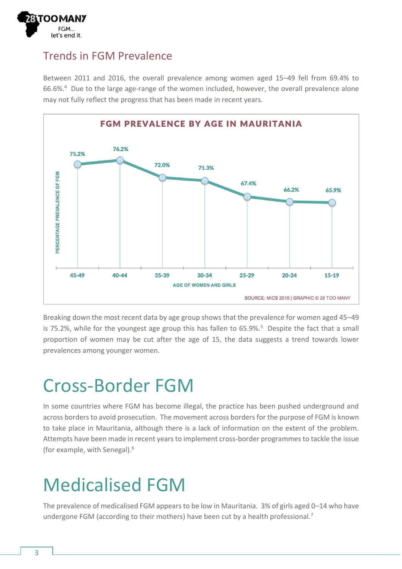

#### Trends in FGM Prevalence

Between 2011 and 2016, the overall prevalence among women aged 15–49 fell from 69.4% to 66.6%.<sup>4</sup> Due to the large age-range of the women included, however, the overall prevalence alone may not fully reflect the progress that has been made in recent years.



Breaking down the most recent data by age group shows that the prevalence for women aged 45–49 is 75.2%, while for the youngest age group this has fallen to  $65.9\%$ .<sup>5</sup> Despite the fact that a small proportion of women may be cut after the age of 15, the data suggests a trend towards lower prevalences among younger women.

#### Cross-Border FGM

In some countries where FGM has become illegal, the practice has been pushed underground and across borders to avoid prosecution. The movement across borders for the purpose of FGM is known to take place in Mauritania, although there is a lack of information on the extent of the problem. Attempts have been made in recent years to implement cross-border programmes to tackle the issue (for example, with Senegal).<sup>6</sup>

#### Medicalised FGM

The prevalence of medicalised FGM appears to be low in Mauritania. 3% of girls aged 0–14 who have undergone FGM (according to their mothers) have been cut by a health professional.<sup>7</sup>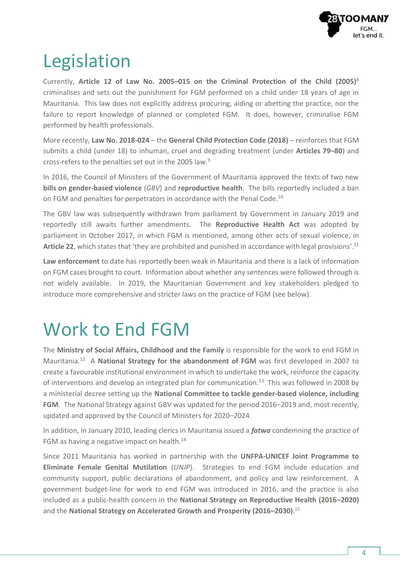

### Legislation

Currently, **Article 12 of Law No. 2005–015 on the Criminal Protection of the Child (2005)**<sup>8</sup> criminalises and sets out the punishment for FGM performed on a child under 18 years of age in Mauritania. This law does not explicitly address procuring, aiding or abetting the practice, nor the failure to report knowledge of planned or completed FGM. It does, however, criminalise FGM performed by health professionals.

More recently, **Law No. 2018-024** – the **General Child Protection Code (2018)** – reinforces that FGM submits a child (under 18) to inhuman, cruel and degrading treatment (under **Articles 79–80**) and cross-refers to the penalties set out in the 2005 law.<sup>9</sup>

In 2016, the Council of Ministers of the Government of Mauritania approved the texts of two new **bills on gender-based violence** (*GBV*) and **reproductive health**. The bills reportedly included a ban on FGM and penalties for perpetrators in accordance with the Penal Code.<sup>10</sup>

The GBV law was subsequently withdrawn from parliament by Government in January 2019 and reportedly still awaits further amendments. The **Reproductive Health Act** was adopted by parliament in October 2017, in which FGM is mentioned, among other acts of sexual violence, in **Article 22**, which states that 'they are prohibited and punished in accordance with legal provisions'. 11

**Law enforcement** to date has reportedly been weak in Mauritania and there is a lack of information on FGM cases brought to court. Information about whether any sentences were followed through is not widely available. In 2019, the Mauritanian Government and key stakeholders pledged to introduce more comprehensive and stricter laws on the practice of FGM (see below).

#### Work to End FGM

The **Ministry of Social Affairs, Childhood and the Family** is responsible for the work to end FGM in Mauritania.<sup>12</sup> A National Strategy for the abandonment of FGM was first developed in 2007 to create a favourable institutional environment in which to undertake the work, reinforce the capacity of interventions and develop an integrated plan for communication.<sup>13</sup> This was followed in 2008 by a ministerial decree setting up the **National Committee to tackle gender-based violence, including FGM**. The National Strategy against GBV was updated for the period 2016–2019 and, most recently, updated and approved by the Council of Ministers for 2020–2024.

In addition, in January 2010, leading clerics in Mauritania issued a *fatwa* condemning the practice of FGM as having a negative impact on health. $^{14}$ 

Since 2011 Mauritania has worked in partnership with the **UNFPA-UNICEF Joint Programme to Eliminate Female Genital Mutilation** (*UNJP*). Strategies to end FGM include education and community support, public declarations of abandonment, and policy and law reinforcement. A government budget-line for work to end FGM was introduced in 2016, and the practice is also included as a public-health concern in the **National Strategy on Reproductive Health (2016–2020)** and the **National Strategy on Accelerated Growth and Prosperity (2016–2030)**. 15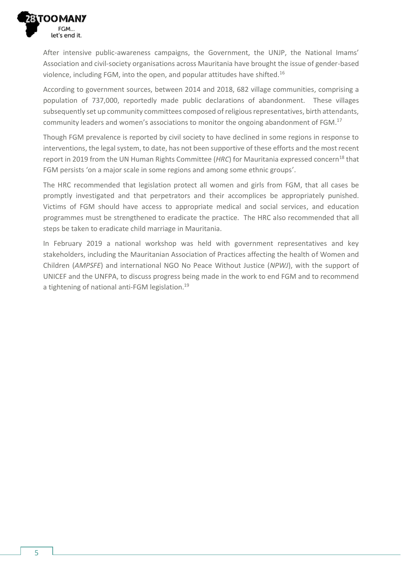

After intensive public-awareness campaigns, the Government, the UNJP, the National Imams' Association and civil-society organisations across Mauritania have brought the issue of gender-based violence, including FGM, into the open, and popular attitudes have shifted.<sup>16</sup>

According to government sources, between 2014 and 2018, 682 village communities, comprising a population of 737,000, reportedly made public declarations of abandonment. These villages subsequently set up community committees composed of religious representatives, birth attendants, community leaders and women's associations to monitor the ongoing abandonment of FGM.<sup>17</sup>

Though FGM prevalence is reported by civil society to have declined in some regions in response to interventions, the legal system, to date, has not been supportive of these efforts and the most recent report in 2019 from the UN Human Rights Committee (*HRC*) for Mauritania expressed concern<sup>18</sup> that FGM persists 'on a major scale in some regions and among some ethnic groups'.

The HRC recommended that legislation protect all women and girls from FGM, that all cases be promptly investigated and that perpetrators and their accomplices be appropriately punished. Victims of FGM should have access to appropriate medical and social services, and education programmes must be strengthened to eradicate the practice. The HRC also recommended that all steps be taken to eradicate child marriage in Mauritania.

In February 2019 a national workshop was held with government representatives and key stakeholders, including the Mauritanian Association of Practices affecting the health of Women and Children (*AMPSFE*) and international NGO No Peace Without Justice (*NPWJ*), with the support of UNICEF and the UNFPA, to discuss progress being made in the work to end FGM and to recommend a tightening of national anti-FGM legislation.<sup>19</sup>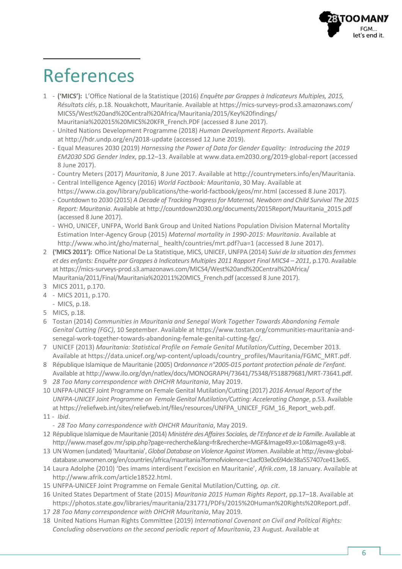

#### References

- 1 **('MICS'):** L'Office National de la Statistique (2016) *Enquête par Grappes à Indicateurs Multiples, 2015, Résultats clés*, p.18. Nouakchott, Mauritanie. Available a[t https://mics-surveys-prod.s3.amazonaws.com/](https://mics-surveys-prod.s3.amazonaws.com/MICS5/West%20and%20Central%20Africa/Mauritania/2015/Key%20findings/Mauritania%202015%20MICS%20KFR_French.PDF) [MICS5/West%20and%20Central%20Africa/Mauritania/2015/Key%20findings/](https://mics-surveys-prod.s3.amazonaws.com/MICS5/West%20and%20Central%20Africa/Mauritania/2015/Key%20findings/Mauritania%202015%20MICS%20KFR_French.PDF) [Mauritania%202015%20MICS%20KFR\\_French.PDF](https://mics-surveys-prod.s3.amazonaws.com/MICS5/West%20and%20Central%20Africa/Mauritania/2015/Key%20findings/Mauritania%202015%20MICS%20KFR_French.PDF) (accessed 8 June 2017).
	- United Nations Development Programme (2018) *Human Development Reports*. Available at <http://hdr.undp.org/en/2018-update> (accessed 12 June 2019).
	- Equal Measures 2030 (2019) *Harnessing the Power of Data for Gender Equality: Introducing the 2019 EM2030 SDG Gender Index*, pp.12–13. Available at [www.data.em2030.org/2019-global-report](http://www.data.em2030.org/2019-global-report) (accessed 8 June 2017).
	- Country Meters (2017) *Mauritania*, 8 June 2017. Available a[t http://countrymeters.info/en/Mauritania.](http://countrymeters.info/en/Mauritania)
	- Central Intelligence Agency (2016) *World Factbook: Mauritania*, 30 May. Available at <https://www.cia.gov/library/publications/the-world-factbook/geos/mr.html> (accessed 8 June 2017).
	- Countdown to 2030 (2015) *A Decade of Tracking Progress for Maternal, Newborn and Child Survival The 2015 Report: Mauritania*. Available a[t http://countdown2030.org/documents/2015Report/Mauritania\\_2015.pdf](http://countdown2030.org/documents/2015Report/Mauritania_2015.pdf) (accessed 8 June 2017).
	- WHO, UNICEF, UNFPA, World Bank Group and United Nations Population Division Maternal Mortality Estimation Inter-Agency Group (2015) *Maternal mortality in 1990-2015: Mauritania*. Available at [http://www.who.int/gho/maternal\\_ health/countries/mrt.pdf?ua=1](http://www.who.int/gho/maternal_%20health/countries/mrt.pdf?ua=1) (accessed 8 June 2017).
- 2 **('MICS 2011'):** Office National De La Statistique, MICS, UNICEF, UNFPA (2014) *Suivi de la situation des femmes et des enfants: Enquête par Grappes à Indicateurs Multiples 2011 Rapport Final MICS4 – 2011*, p.170. Available a[t https://mics-surveys-prod.s3.amazonaws.com/MICS4/West%20and%20Central%20Africa/](https://mics-surveys-prod.s3.amazonaws.com/MICS4/West%20and%20Central%20Africa/Mauritania/2011/Final/Mauritania%202011%20MICS_French.pdf) Mauritania/2011/Final/Mauritania%202011%20MICS French.pdf (accessed 8 June 2017).
- 3 MICS 2011, p.170.
- 4 MICS 2011, p.170.
- MICS, p.18.
- 5 MICS, p.18.
- 6 Tostan (2014) *Communities in Mauritania and Senegal Work Together Towards Abandoning Female Genital Cutting (FGC)*, 10 September. Available at [https://www.tostan.org/communities-mauritania-and](https://www.tostan.org/communities-mauritania-and-senegal-work-together-towards-abandoning-female-genital-cutting-fgc/)[senegal-work-together-towards-abandoning-female-genital-cutting-fgc/.](https://www.tostan.org/communities-mauritania-and-senegal-work-together-towards-abandoning-female-genital-cutting-fgc/)
- 7 UNICEF (2013) *Mauritania: Statistical Profile on Female Genital Mutilation/Cutting*, December 2013. Available at [https://data.unicef.org/wp-content/uploads/country\\_profiles/Mauritania/FGMC\\_MRT.pdf.](https://data.unicef.org/wp-content/uploads/country_profiles/Mauritania/FGMC_MRT.pdf)
- 8 République Islamique de Mauritanie (2005) O*rdonnance n°2005-015 portant protection pénale de l'enfant*. Available a[t http://www.ilo.org/dyn/natlex/docs/MONOGRAPH/73641/75348/F518879681/MRT-73641.pdf.](http://www.ilo.org/dyn/natlex/docs/MONOGRAPH/73641/75348/F518879681/MRT-73641.pdf)
- 9 *28 Too Many correspondence with OHCHR Mauritania*, May 2019.
- 10 UNFPA-UNICEF Joint Programme on Female Genital Mutilation/Cutting (2017) *2016 Annual Report of the UNFPA-UNICEF Joint Programme on Female Genital Mutilation/Cutting: Accelerating Change*, p.53. Available a[t https://reliefweb.int/sites/reliefweb.int/files/resources/UNFPA\\_UNICEF\\_FGM\\_16\\_Report\\_web.pdf.](https://reliefweb.int/sites/reliefweb.int/files/resources/UNFPA_UNICEF_FGM_16_Report_web.pdf) 11 - *Ibid*.
- - *28 Too Many correspondence with OHCHR Mauritania*, May 2019.
- 12 République Islamique de Mauritanie (2014) *Ministére des Affaires Sociales, de l'Enfance et de la Famille*. Available at [http://www.masef.gov.mr/spip.php?page=recherche&lang=fr&recherche=MGF&Image49.x=10&Image49.y=8.](http://www.masef.gov.mr/spip.php?page=recherche&lang=fr&recherche=MGF&Image49.x=10&Image49.y=8)
- 13 UN Women (undated) 'Mauritania', *Global Database on Violence Against Women*. Available a[t http://evaw-global](http://evaw-global-database.unwomen.org/en/countries/africa/mauritania?formofviolence=c1acf03e0c694de38a557407ce413e65)[database.unwomen.org/en/countries/africa/mauritania?formofviolence=c1acf03e0c694de38a557407ce413e65.](http://evaw-global-database.unwomen.org/en/countries/africa/mauritania?formofviolence=c1acf03e0c694de38a557407ce413e65)
- 14 Laura Adolphe (2010) 'Des imams interdisent l'excision en Mauritanie', *Afrik.com*, 18 January. Available at [http://www.afrik.com/article18522.html.](http://www.afrik.com/article18522.html)
- 15 UNFPA-UNICEF Joint Programme on Female Genital Mutilation/Cutting*, op. cit*.
- 16 United States Department of State (2015) *Mauritania 2015 Human Rights Report*, pp.17–18. Available at [https://photos.state.gov/libraries/mauritania/231771/PDFs/2015%20Human%20Rights%20Report.pdf.](https://photos.state.gov/libraries/mauritania/231771/PDFs/2015%20Human%20Rights%20Report.pdf)
- 17 *28 Too Many correspondence with OHCHR Mauritania*, May 2019*.*
- 18 United Nations Human Rights Committee (2019) *International Covenant on Civil and Political Rights: Concluding observations on the second periodic report of Mauritania*, 23 August. Available at